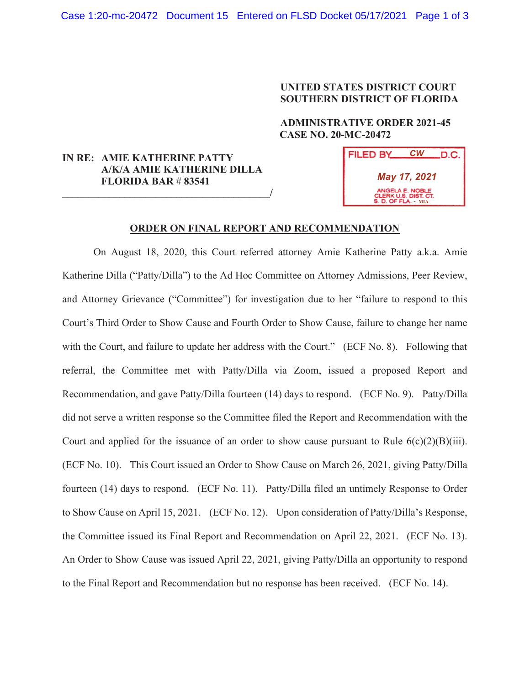## **UNITED STATES DISTRICT COURT SOUTHERN DISTRICT OF FLORIDA**

## **ADMINISTRATIVE ORDER 2021-45 CASE NO. 20-MC-20472**

## **IN RE: AMIE KATHERINE PATTY A/K/A AMIE KATHERINE DILLA FLORIDA BAR** # **83541 \_\_\_\_\_\_\_\_\_\_\_\_\_\_\_\_\_\_\_\_\_\_\_\_\_\_\_\_\_\_\_\_\_\_\_\_\_\_\_\_/**



## **ORDER ON FINAL REPORT AND RECOMMENDATION**

On August 18, 2020, this Court referred attorney Amie Katherine Patty a.k.a. Amie Katherine Dilla ("Patty/Dilla") to the Ad Hoc Committee on Attorney Admissions, Peer Review, and Attorney Grievance ("Committee") for investigation due to her "failure to respond to this Court's Third Order to Show Cause and Fourth Order to Show Cause, failure to change her name with the Court, and failure to update her address with the Court." (ECF No. 8). Following that referral, the Committee met with Patty/Dilla via Zoom, issued a proposed Report and Recommendation, and gave Patty/Dilla fourteen (14) days to respond. (ECF No. 9). Patty/Dilla did not serve a written response so the Committee filed the Report and Recommendation with the Court and applied for the issuance of an order to show cause pursuant to Rule  $6(c)(2)(B)(iii)$ . (ECF No. 10). This Court issued an Order to Show Cause on March 26, 2021, giving Patty/Dilla fourteen (14) days to respond. (ECF No. 11). Patty/Dilla filed an untimely Response to Order to Show Cause on April 15, 2021. (ECF No. 12). Upon consideration of Patty/Dilla's Response, the Committee issued its Final Report and Recommendation on April 22, 2021. (ECF No. 13). An Order to Show Cause was issued April 22, 2021, giving Patty/Dilla an opportunity to respond to the Final Report and Recommendation but no response has been received. (ECF No. 14).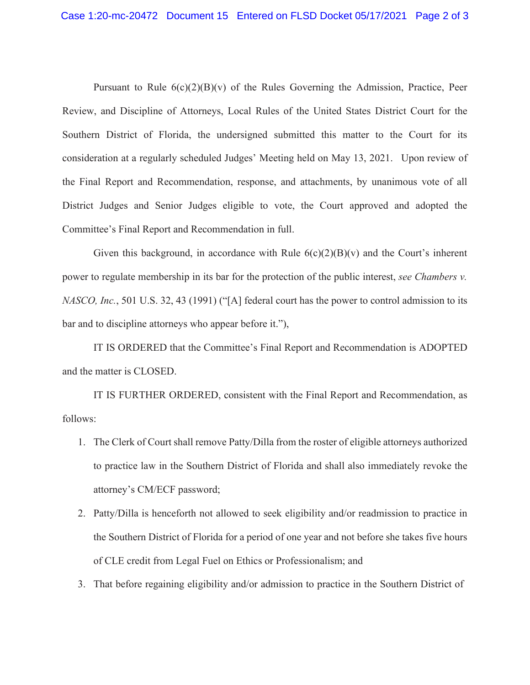Pursuant to Rule  $6(c)(2)(B)(v)$  of the Rules Governing the Admission, Practice, Peer Review, and Discipline of Attorneys, Local Rules of the United States District Court for the Southern District of Florida, the undersigned submitted this matter to the Court for its consideration at a regularly scheduled Judges' Meeting held on May 13, 2021. Upon review of the Final Report and Recommendation, response, and attachments, by unanimous vote of all District Judges and Senior Judges eligible to vote, the Court approved and adopted the Committee's Final Report and Recommendation in full.

Given this background, in accordance with Rule  $6(c)(2)(B)(v)$  and the Court's inherent power to regulate membership in its bar for the protection of the public interest, *see Chambers v. NASCO, Inc.*, 501 U.S. 32, 43 (1991) ("[A] federal court has the power to control admission to its bar and to discipline attorneys who appear before it."),

 IT IS ORDERED that the Committee's Final Report and Recommendation is ADOPTED and the matter is CLOSED.

 IT IS FURTHER ORDERED, consistent with the Final Report and Recommendation, as follows:

- 1. The Clerk of Court shall remove Patty/Dilla from the roster of eligible attorneys authorized to practice law in the Southern District of Florida and shall also immediately revoke the attorney's CM/ECF password;
- 2. Patty/Dilla is henceforth not allowed to seek eligibility and/or readmission to practice in the Southern District of Florida for a period of one year and not before she takes five hours of CLE credit from Legal Fuel on Ethics or Professionalism; and
- 3. That before regaining eligibility and/or admission to practice in the Southern District of